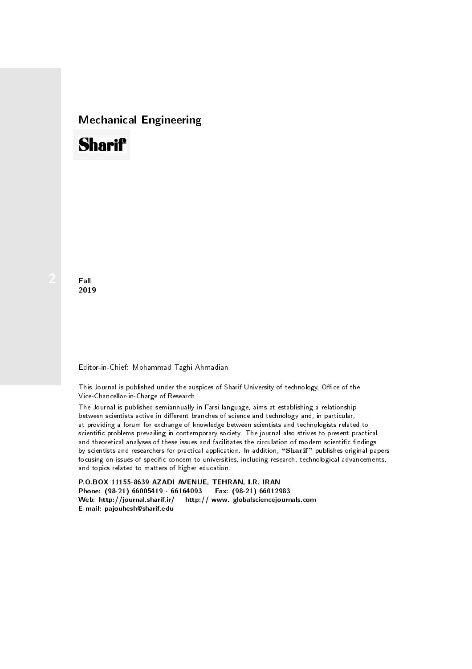## Mechanical Engineering

# **Sharif**

**Fall** 2019

### Editor-in-Chief: Mohammad Taghi Ahmadian

This Journal is published under the auspices of Sharif University of technology, Office of the Vice-Chancellor-in-Charge of Research.

The Journal is published semiannually in Farsi language, aims at establishing a relationship between scientists active in different branches of science and technology and, in particular, at providing a forum for exchange of knowledge between scientists and technologists related to scientic problems prevailing in contemporary society. The journal also strives to present practical and theoretical analyses of these issues and facilitates the circulation of modern scientific findings by scientists and researchers for practical application. In addition, "Sharif" publishes original papers focusing on issues of specific concern to universities, including research, technological advancements, and topics related to matters of higher education.

P.O.BOX 11155-8639 AZADI AVENUE, TEHRAN, I.R. IRAN Phone: (98-21) 66005419 - 66164093 Fax: (98-21) 66012983 Web: http://journal.sharif.ir/ http:// www. globalsciencejournals.com E-mail: pajouhesh@sharif.edu